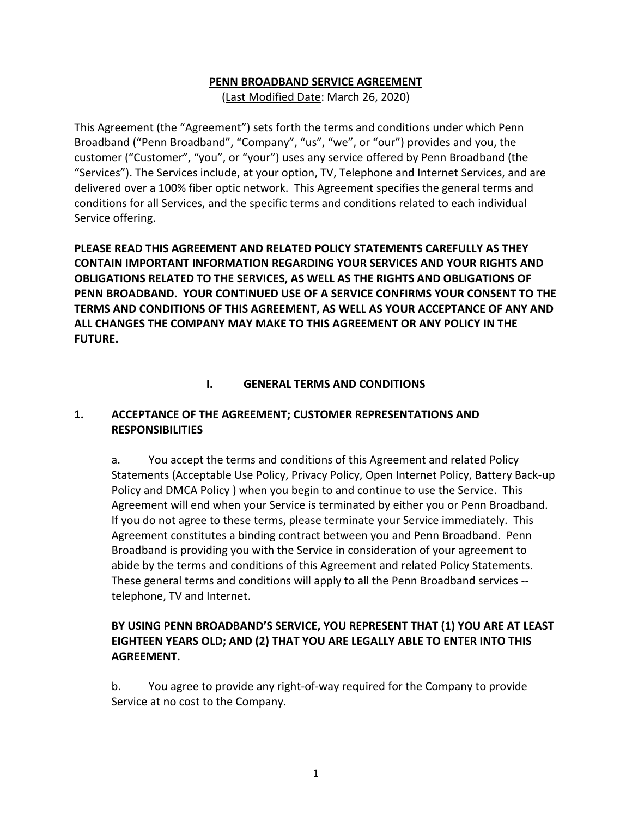#### **PENN BROADBAND SERVICE AGREEMENT**

(Last Modified Date: March 26, 2020)

This Agreement (the "Agreement") sets forth the terms and conditions under which Penn Broadband ("Penn Broadband", "Company", "us", "we", or "our") provides and you, the customer ("Customer", "you", or "your") uses any service offered by Penn Broadband (the "Services"). The Services include, at your option, TV, Telephone and Internet Services, and are delivered over a 100% fiber optic network. This Agreement specifies the general terms and conditions for all Services, and the specific terms and conditions related to each individual Service offering.

**PLEASE READ THIS AGREEMENT AND RELATED POLICY STATEMENTS CAREFULLY AS THEY CONTAIN IMPORTANT INFORMATION REGARDING YOUR SERVICES AND YOUR RIGHTS AND OBLIGATIONS RELATED TO THE SERVICES, AS WELL AS THE RIGHTS AND OBLIGATIONS OF PENN BROADBAND. YOUR CONTINUED USE OF A SERVICE CONFIRMS YOUR CONSENT TO THE TERMS AND CONDITIONS OF THIS AGREEMENT, AS WELL AS YOUR ACCEPTANCE OF ANY AND ALL CHANGES THE COMPANY MAY MAKE TO THIS AGREEMENT OR ANY POLICY IN THE FUTURE.**

#### **I. GENERAL TERMS AND CONDITIONS**

#### **1. ACCEPTANCE OF THE AGREEMENT; CUSTOMER REPRESENTATIONS AND RESPONSIBILITIES**

a. You accept the terms and conditions of this Agreement and related Policy Statements (Acceptable Use Policy, Privacy Policy, Open Internet Policy, Battery Back-up Policy and DMCA Policy ) when you begin to and continue to use the Service. This Agreement will end when your Service is terminated by either you or Penn Broadband. If you do not agree to these terms, please terminate your Service immediately. This Agreement constitutes a binding contract between you and Penn Broadband. Penn Broadband is providing you with the Service in consideration of your agreement to abide by the terms and conditions of this Agreement and related Policy Statements. These general terms and conditions will apply to all the Penn Broadband services - telephone, TV and Internet.

#### **BY USING PENN BROADBAND'S SERVICE, YOU REPRESENT THAT (1) YOU ARE AT LEAST EIGHTEEN YEARS OLD; AND (2) THAT YOU ARE LEGALLY ABLE TO ENTER INTO THIS AGREEMENT.**

b. You agree to provide any right-of-way required for the Company to provide Service at no cost to the Company.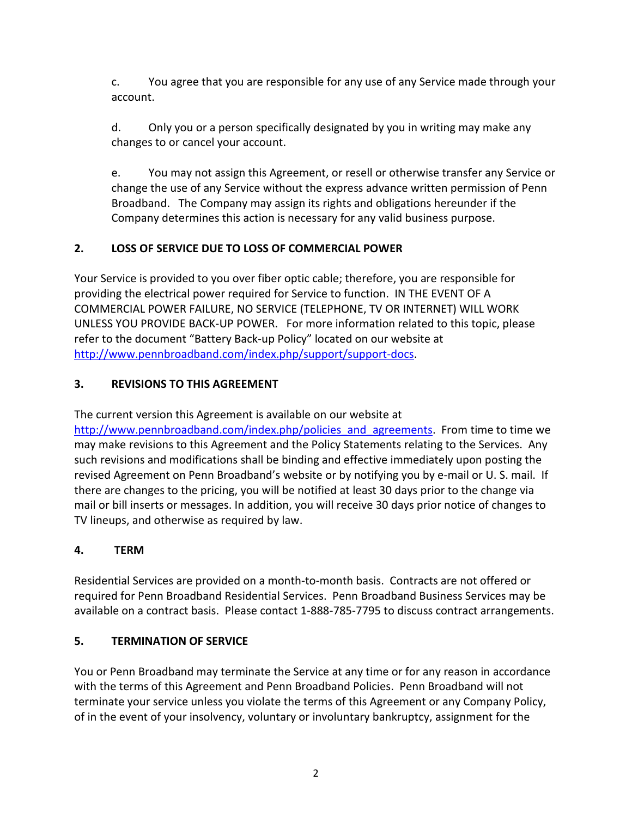c. You agree that you are responsible for any use of any Service made through your account.

d. Only you or a person specifically designated by you in writing may make any changes to or cancel your account.

e. You may not assign this Agreement, or resell or otherwise transfer any Service or change the use of any Service without the express advance written permission of Penn Broadband. The Company may assign its rights and obligations hereunder if the Company determines this action is necessary for any valid business purpose.

## **2. LOSS OF SERVICE DUE TO LOSS OF COMMERCIAL POWER**

Your Service is provided to you over fiber optic cable; therefore, you are responsible for providing the electrical power required for Service to function. IN THE EVENT OF A COMMERCIAL POWER FAILURE, NO SERVICE (TELEPHONE, TV OR INTERNET) WILL WORK UNLESS YOU PROVIDE BACK-UP POWER. For more information related to this topic, please refer to the document "Battery Back-up Policy" located on our website at [http://www.pennbroadband.com/index.php/support/support-docs.](http://www.pennbroadband.com/index.php/support/support-docs)

#### **3. REVISIONS TO THIS AGREEMENT**

The current version this Agreement is available on our website at [http://www.pennbroadband.com/index.php/policies\\_and\\_agreements.](http://www.pennbroadband.com/index.php/policies_and_agreements) From time to time we may make revisions to this Agreement and the Policy Statements relating to the Services. Any such revisions and modifications shall be binding and effective immediately upon posting the revised Agreement on Penn Broadband's website or by notifying you by e-mail or U. S. mail. If there are changes to the pricing, you will be notified at least 30 days prior to the change via mail or bill inserts or messages. In addition, you will receive 30 days prior notice of changes to TV lineups, and otherwise as required by law.

## **4. TERM**

Residential Services are provided on a month-to-month basis. Contracts are not offered or required for Penn Broadband Residential Services. Penn Broadband Business Services may be available on a contract basis. Please contact 1-888-785-7795 to discuss contract arrangements.

#### **5. TERMINATION OF SERVICE**

You or Penn Broadband may terminate the Service at any time or for any reason in accordance with the terms of this Agreement and Penn Broadband Policies. Penn Broadband will not terminate your service unless you violate the terms of this Agreement or any Company Policy, of in the event of your insolvency, voluntary or involuntary bankruptcy, assignment for the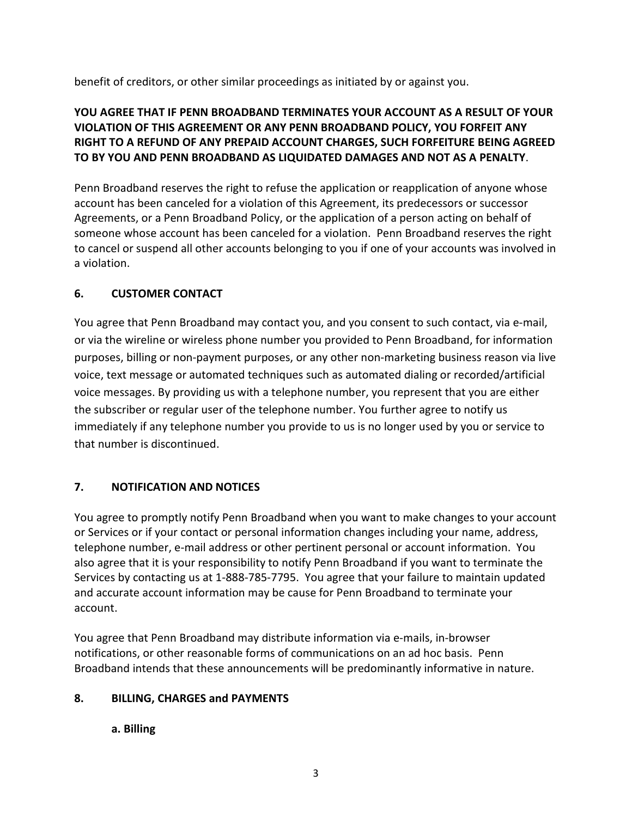benefit of creditors, or other similar proceedings as initiated by or against you.

## **YOU AGREE THAT IF PENN BROADBAND TERMINATES YOUR ACCOUNT AS A RESULT OF YOUR VIOLATION OF THIS AGREEMENT OR ANY PENN BROADBAND POLICY, YOU FORFEIT ANY RIGHT TO A REFUND OF ANY PREPAID ACCOUNT CHARGES, SUCH FORFEITURE BEING AGREED TO BY YOU AND PENN BROADBAND AS LIQUIDATED DAMAGES AND NOT AS A PENALTY**.

Penn Broadband reserves the right to refuse the application or reapplication of anyone whose account has been canceled for a violation of this Agreement, its predecessors or successor Agreements, or a Penn Broadband Policy, or the application of a person acting on behalf of someone whose account has been canceled for a violation. Penn Broadband reserves the right to cancel or suspend all other accounts belonging to you if one of your accounts was involved in a violation.

#### **6. CUSTOMER CONTACT**

You agree that Penn Broadband may contact you, and you consent to such contact, via e-mail, or via the wireline or wireless phone number you provided to Penn Broadband, for information purposes, billing or non-payment purposes, or any other non-marketing business reason via live voice, text message or automated techniques such as automated dialing or recorded/artificial voice messages. By providing us with a telephone number, you represent that you are either the subscriber or regular user of the telephone number. You further agree to notify us immediately if any telephone number you provide to us is no longer used by you or service to that number is discontinued.

## **7. NOTIFICATION AND NOTICES**

You agree to promptly notify Penn Broadband when you want to make changes to your account or Services or if your contact or personal information changes including your name, address, telephone number, e-mail address or other pertinent personal or account information. You also agree that it is your responsibility to notify Penn Broadband if you want to terminate the Services by contacting us at 1-888-785-7795. You agree that your failure to maintain updated and accurate account information may be cause for Penn Broadband to terminate your account.

You agree that Penn Broadband may distribute information via e-mails, in-browser notifications, or other reasonable forms of communications on an ad hoc basis. Penn Broadband intends that these announcements will be predominantly informative in nature.

#### **8. BILLING, CHARGES and PAYMENTS**

## **a. Billing**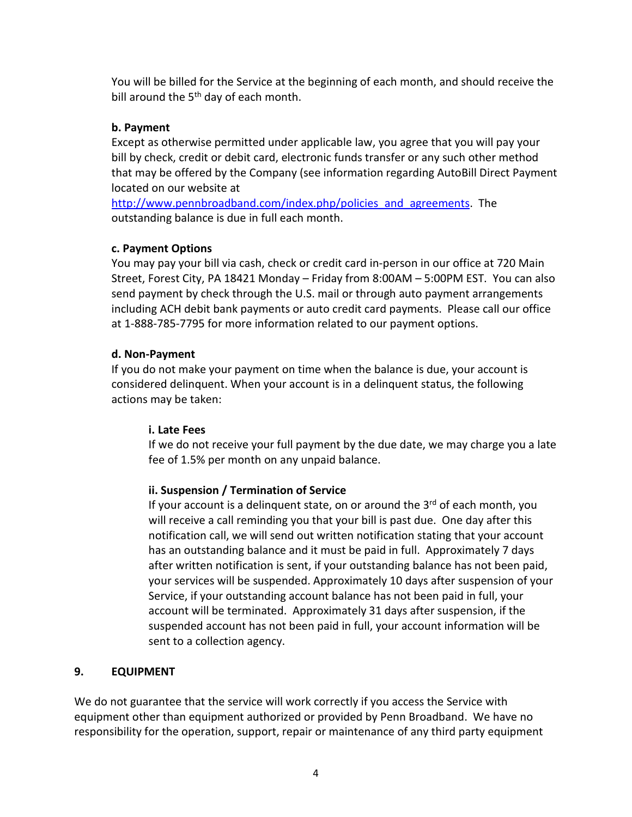You will be billed for the Service at the beginning of each month, and should receive the bill around the  $5<sup>th</sup>$  day of each month.

#### **b. Payment**

Except as otherwise permitted under applicable law, you agree that you will pay your bill by check, credit or debit card, electronic funds transfer or any such other method that may be offered by the Company (see information regarding AutoBill Direct Payment located on our website at

http://www.pennbroadband.com/index.php/policies and agreements. The outstanding balance is due in full each month.

#### **c. Payment Options**

You may pay your bill via cash, check or credit card in-person in our office at 720 Main Street, Forest City, PA 18421 Monday – Friday from 8:00AM – 5:00PM EST. You can also send payment by check through the U.S. mail or through auto payment arrangements including ACH debit bank payments or auto credit card payments. Please call our office at 1-888-785-7795 for more information related to our payment options.

#### **d. Non-Payment**

If you do not make your payment on time when the balance is due, your account is considered delinquent. When your account is in a delinquent status, the following actions may be taken:

## **i. Late Fees**

If we do not receive your full payment by the due date, we may charge you a late fee of 1.5% per month on any unpaid balance.

## **ii. Suspension / Termination of Service**

If your account is a delinguent state, on or around the  $3<sup>rd</sup>$  of each month, you will receive a call reminding you that your bill is past due. One day after this notification call, we will send out written notification stating that your account has an outstanding balance and it must be paid in full. Approximately 7 days after written notification is sent, if your outstanding balance has not been paid, your services will be suspended. Approximately 10 days after suspension of your Service, if your outstanding account balance has not been paid in full, your account will be terminated. Approximately 31 days after suspension, if the suspended account has not been paid in full, your account information will be sent to a collection agency.

## **9. EQUIPMENT**

We do not guarantee that the service will work correctly if you access the Service with equipment other than equipment authorized or provided by Penn Broadband. We have no responsibility for the operation, support, repair or maintenance of any third party equipment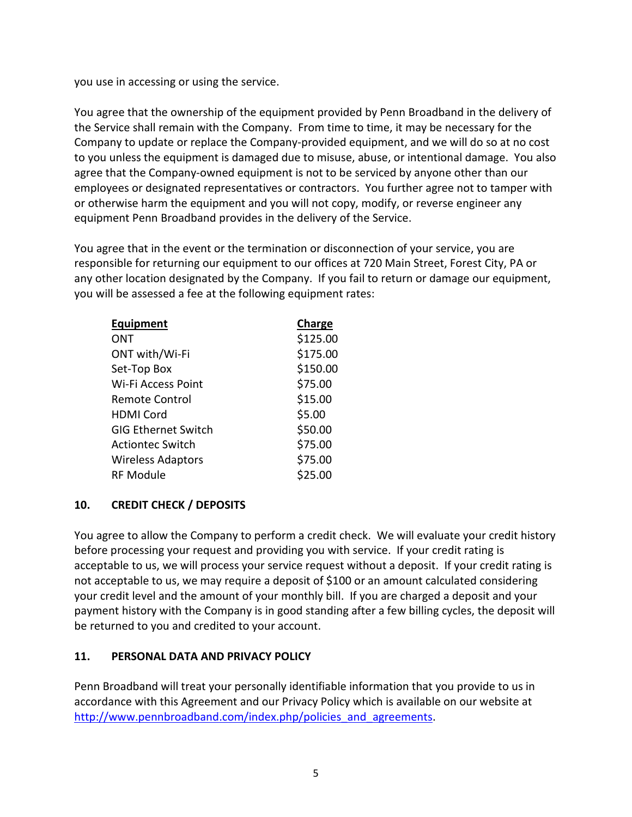you use in accessing or using the service.

You agree that the ownership of the equipment provided by Penn Broadband in the delivery of the Service shall remain with the Company. From time to time, it may be necessary for the Company to update or replace the Company-provided equipment, and we will do so at no cost to you unless the equipment is damaged due to misuse, abuse, or intentional damage. You also agree that the Company-owned equipment is not to be serviced by anyone other than our employees or designated representatives or contractors. You further agree not to tamper with or otherwise harm the equipment and you will not copy, modify, or reverse engineer any equipment Penn Broadband provides in the delivery of the Service.

You agree that in the event or the termination or disconnection of your service, you are responsible for returning our equipment to our offices at 720 Main Street, Forest City, PA or any other location designated by the Company. If you fail to return or damage our equipment, you will be assessed a fee at the following equipment rates:

| <b>Equipment</b>           | Charge   |
|----------------------------|----------|
| ONT                        | \$125.00 |
| ONT with/Wi-Fi             | \$175.00 |
| Set-Top Box                | \$150.00 |
| Wi-Fi Access Point         | \$75.00  |
| <b>Remote Control</b>      | \$15.00  |
| <b>HDMI Cord</b>           | \$5.00   |
| <b>GIG Ethernet Switch</b> | \$50.00  |
| <b>Actiontec Switch</b>    | \$75.00  |
| <b>Wireless Adaptors</b>   | \$75.00  |
| <b>RF Module</b>           | \$25.00  |

#### **10. CREDIT CHECK / DEPOSITS**

You agree to allow the Company to perform a credit check. We will evaluate your credit history before processing your request and providing you with service. If your credit rating is acceptable to us, we will process your service request without a deposit. If your credit rating is not acceptable to us, we may require a deposit of \$100 or an amount calculated considering your credit level and the amount of your monthly bill. If you are charged a deposit and your payment history with the Company is in good standing after a few billing cycles, the deposit will be returned to you and credited to your account.

#### **11. PERSONAL DATA AND PRIVACY POLICY**

Penn Broadband will treat your personally identifiable information that you provide to us in accordance with this Agreement and our Privacy Policy which is available on our website at http://www.pennbroadband.com/index.php/policies and agreements.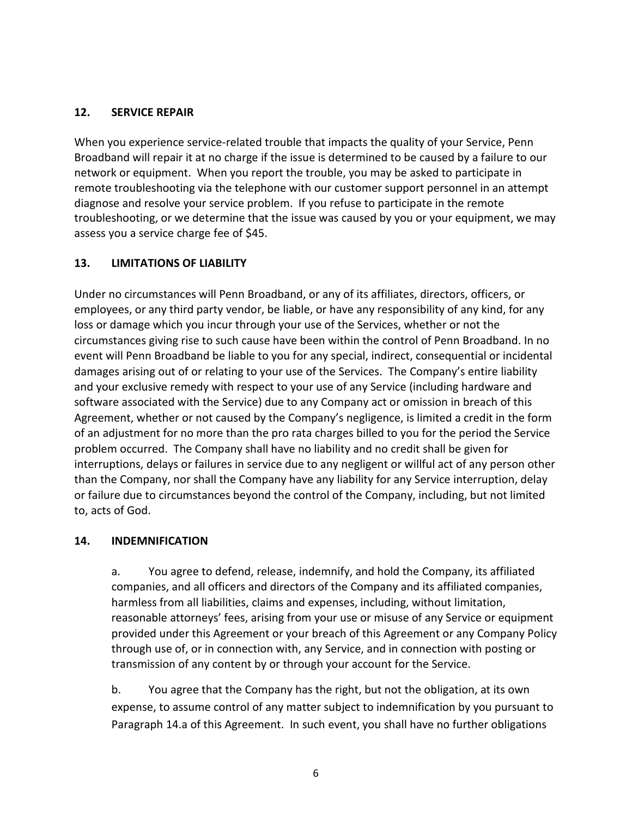#### **12. SERVICE REPAIR**

When you experience service-related trouble that impacts the quality of your Service, Penn Broadband will repair it at no charge if the issue is determined to be caused by a failure to our network or equipment. When you report the trouble, you may be asked to participate in remote troubleshooting via the telephone with our customer support personnel in an attempt diagnose and resolve your service problem. If you refuse to participate in the remote troubleshooting, or we determine that the issue was caused by you or your equipment, we may assess you a service charge fee of \$45.

#### **13. LIMITATIONS OF LIABILITY**

Under no circumstances will Penn Broadband, or any of its affiliates, directors, officers, or employees, or any third party vendor, be liable, or have any responsibility of any kind, for any loss or damage which you incur through your use of the Services, whether or not the circumstances giving rise to such cause have been within the control of Penn Broadband. In no event will Penn Broadband be liable to you for any special, indirect, consequential or incidental damages arising out of or relating to your use of the Services. The Company's entire liability and your exclusive remedy with respect to your use of any Service (including hardware and software associated with the Service) due to any Company act or omission in breach of this Agreement, whether or not caused by the Company's negligence, is limited a credit in the form of an adjustment for no more than the pro rata charges billed to you for the period the Service problem occurred. The Company shall have no liability and no credit shall be given for interruptions, delays or failures in service due to any negligent or willful act of any person other than the Company, nor shall the Company have any liability for any Service interruption, delay or failure due to circumstances beyond the control of the Company, including, but not limited to, acts of God.

#### **14. INDEMNIFICATION**

a. You agree to defend, release, indemnify, and hold the Company, its affiliated companies, and all officers and directors of the Company and its affiliated companies, harmless from all liabilities, claims and expenses, including, without limitation, reasonable attorneys' fees, arising from your use or misuse of any Service or equipment provided under this Agreement or your breach of this Agreement or any Company Policy through use of, or in connection with, any Service, and in connection with posting or transmission of any content by or through your account for the Service.

b. You agree that the Company has the right, but not the obligation, at its own expense, to assume control of any matter subject to indemnification by you pursuant to Paragraph 14.a of this Agreement. In such event, you shall have no further obligations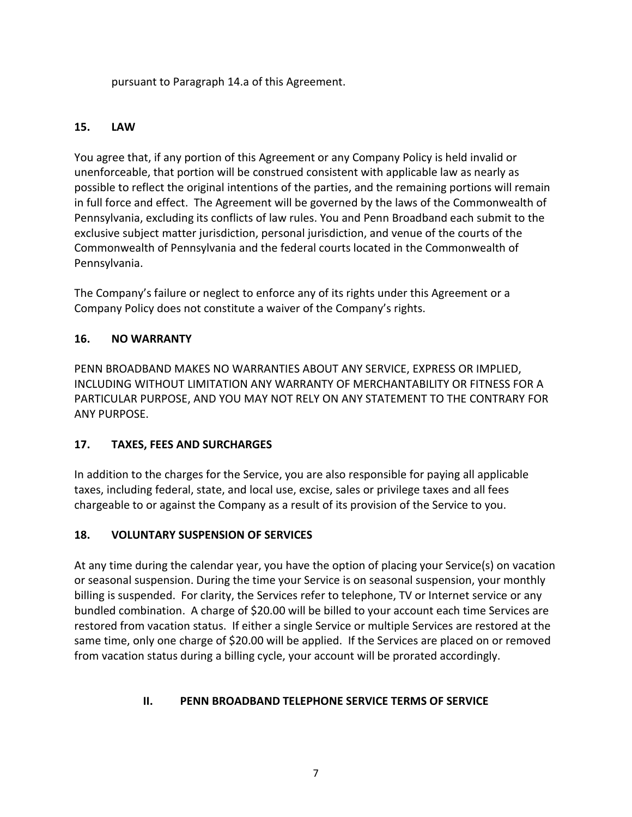pursuant to Paragraph 14.a of this Agreement.

## **15. LAW**

You agree that, if any portion of this Agreement or any Company Policy is held invalid or unenforceable, that portion will be construed consistent with applicable law as nearly as possible to reflect the original intentions of the parties, and the remaining portions will remain in full force and effect. The Agreement will be governed by the laws of the Commonwealth of Pennsylvania, excluding its conflicts of law rules. You and Penn Broadband each submit to the exclusive subject matter jurisdiction, personal jurisdiction, and venue of the courts of the Commonwealth of Pennsylvania and the federal courts located in the Commonwealth of Pennsylvania.

The Company's failure or neglect to enforce any of its rights under this Agreement or a Company Policy does not constitute a waiver of the Company's rights.

## **16. NO WARRANTY**

PENN BROADBAND MAKES NO WARRANTIES ABOUT ANY SERVICE, EXPRESS OR IMPLIED, INCLUDING WITHOUT LIMITATION ANY WARRANTY OF MERCHANTABILITY OR FITNESS FOR A PARTICULAR PURPOSE, AND YOU MAY NOT RELY ON ANY STATEMENT TO THE CONTRARY FOR ANY PURPOSE.

## **17. TAXES, FEES AND SURCHARGES**

In addition to the charges for the Service, you are also responsible for paying all applicable taxes, including federal, state, and local use, excise, sales or privilege taxes and all fees chargeable to or against the Company as a result of its provision of the Service to you.

## **18. VOLUNTARY SUSPENSION OF SERVICES**

At any time during the calendar year, you have the option of placing your Service(s) on vacation or seasonal suspension. During the time your Service is on seasonal suspension, your monthly billing is suspended. For clarity, the Services refer to telephone, TV or Internet service or any bundled combination. A charge of \$20.00 will be billed to your account each time Services are restored from vacation status. If either a single Service or multiple Services are restored at the same time, only one charge of \$20.00 will be applied. If the Services are placed on or removed from vacation status during a billing cycle, your account will be prorated accordingly.

## **II. PENN BROADBAND TELEPHONE SERVICE TERMS OF SERVICE**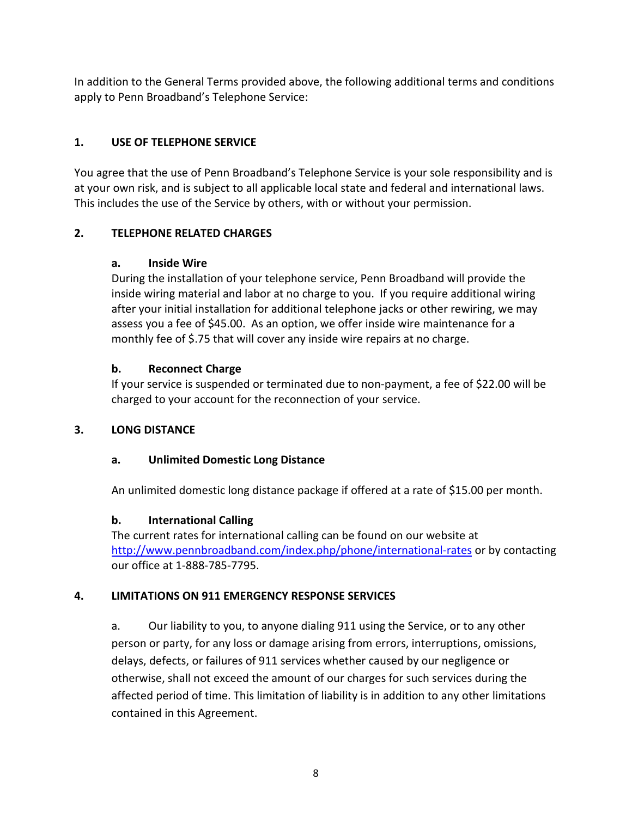In addition to the General Terms provided above, the following additional terms and conditions apply to Penn Broadband's Telephone Service:

## **1. USE OF TELEPHONE SERVICE**

You agree that the use of Penn Broadband's Telephone Service is your sole responsibility and is at your own risk, and is subject to all applicable local state and federal and international laws. This includes the use of the Service by others, with or without your permission.

## **2. TELEPHONE RELATED CHARGES**

#### **a. Inside Wire**

During the installation of your telephone service, Penn Broadband will provide the inside wiring material and labor at no charge to you. If you require additional wiring after your initial installation for additional telephone jacks or other rewiring, we may assess you a fee of \$45.00. As an option, we offer inside wire maintenance for a monthly fee of \$.75 that will cover any inside wire repairs at no charge.

## **b. Reconnect Charge**

If your service is suspended or terminated due to non-payment, a fee of \$22.00 will be charged to your account for the reconnection of your service.

## **3. LONG DISTANCE**

## **a. Unlimited Domestic Long Distance**

An unlimited domestic long distance package if offered at a rate of \$15.00 per month.

## **b. International Calling**

The current rates for international calling can be found on our website at <http://www.pennbroadband.com/index.php/phone/international-rates> or by contacting our office at 1-888-785-7795.

## **4. LIMITATIONS ON 911 EMERGENCY RESPONSE SERVICES**

a. Our liability to you, to anyone dialing 911 using the Service, or to any other person or party, for any loss or damage arising from errors, interruptions, omissions, delays, defects, or failures of 911 services whether caused by our negligence or otherwise, shall not exceed the amount of our charges for such services during the affected period of time. This limitation of liability is in addition to any other limitations contained in this Agreement.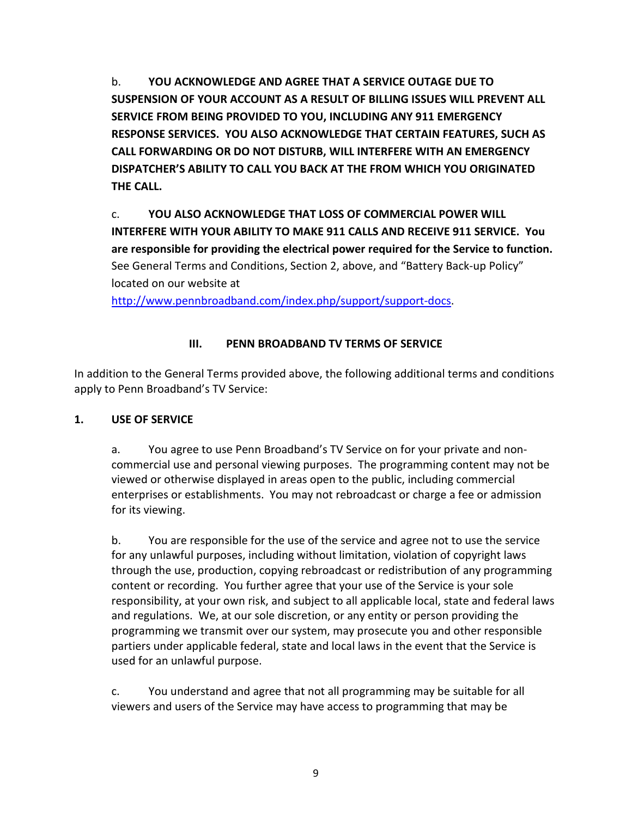b. **YOU ACKNOWLEDGE AND AGREE THAT A SERVICE OUTAGE DUE TO SUSPENSION OF YOUR ACCOUNT AS A RESULT OF BILLING ISSUES WILL PREVENT ALL SERVICE FROM BEING PROVIDED TO YOU, INCLUDING ANY 911 EMERGENCY RESPONSE SERVICES. YOU ALSO ACKNOWLEDGE THAT CERTAIN FEATURES, SUCH AS CALL FORWARDING OR DO NOT DISTURB, WILL INTERFERE WITH AN EMERGENCY DISPATCHER'S ABILITY TO CALL YOU BACK AT THE FROM WHICH YOU ORIGINATED THE CALL.** 

c. **YOU ALSO ACKNOWLEDGE THAT LOSS OF COMMERCIAL POWER WILL INTERFERE WITH YOUR ABILITY TO MAKE 911 CALLS AND RECEIVE 911 SERVICE. You are responsible for providing the electrical power required for the Service to function.**  See General Terms and Conditions, Section 2, above, and "Battery Back-up Policy" located on our website at

<http://www.pennbroadband.com/index.php/support/support-docs.>

## **III. PENN BROADBAND TV TERMS OF SERVICE**

In addition to the General Terms provided above, the following additional terms and conditions apply to Penn Broadband's TV Service:

## **1. USE OF SERVICE**

a. You agree to use Penn Broadband's TV Service on for your private and noncommercial use and personal viewing purposes. The programming content may not be viewed or otherwise displayed in areas open to the public, including commercial enterprises or establishments. You may not rebroadcast or charge a fee or admission for its viewing.

b. You are responsible for the use of the service and agree not to use the service for any unlawful purposes, including without limitation, violation of copyright laws through the use, production, copying rebroadcast or redistribution of any programming content or recording. You further agree that your use of the Service is your sole responsibility, at your own risk, and subject to all applicable local, state and federal laws and regulations. We, at our sole discretion, or any entity or person providing the programming we transmit over our system, may prosecute you and other responsible partiers under applicable federal, state and local laws in the event that the Service is used for an unlawful purpose.

c. You understand and agree that not all programming may be suitable for all viewers and users of the Service may have access to programming that may be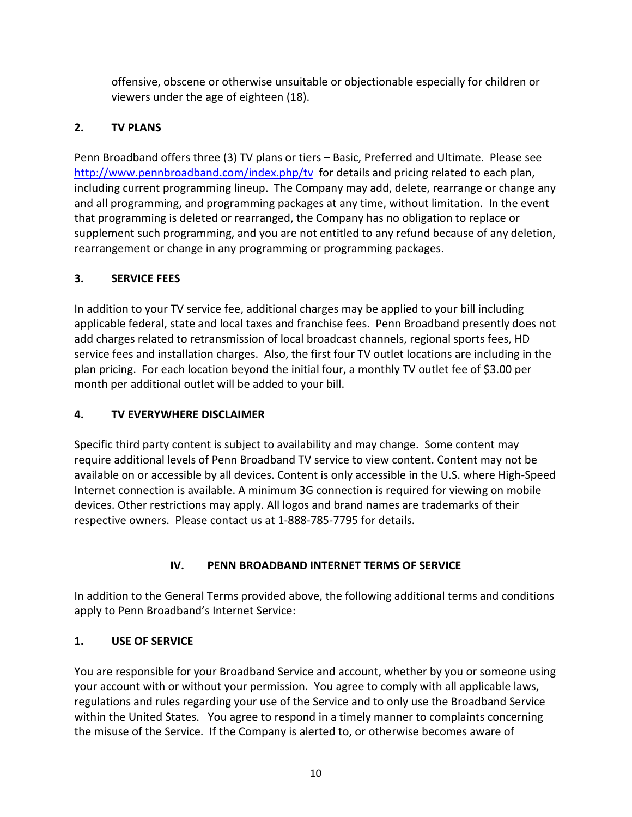offensive, obscene or otherwise unsuitable or objectionable especially for children or viewers under the age of eighteen (18).

# **2. TV PLANS**

Penn Broadband offers three (3) TV plans or tiers – Basic, Preferred and Ultimate. Please see <http://www.pennbroadband.com/index.php/tv>for details and pricing related to each plan, including current programming lineup. The Company may add, delete, rearrange or change any and all programming, and programming packages at any time, without limitation. In the event that programming is deleted or rearranged, the Company has no obligation to replace or supplement such programming, and you are not entitled to any refund because of any deletion, rearrangement or change in any programming or programming packages.

## **3. SERVICE FEES**

In addition to your TV service fee, additional charges may be applied to your bill including applicable federal, state and local taxes and franchise fees. Penn Broadband presently does not add charges related to retransmission of local broadcast channels, regional sports fees, HD service fees and installation charges. Also, the first four TV outlet locations are including in the plan pricing. For each location beyond the initial four, a monthly TV outlet fee of \$3.00 per month per additional outlet will be added to your bill.

# **4. TV EVERYWHERE DISCLAIMER**

Specific third party content is subject to availability and may change. Some content may require additional levels of Penn Broadband TV service to view content. Content may not be available on or accessible by all devices. Content is only accessible in the U.S. where High-Speed Internet connection is available. A minimum 3G connection is required for viewing on mobile devices. Other restrictions may apply. All logos and brand names are trademarks of their respective owners. Please contact us at 1-888-785-7795 for details.

# **IV. PENN BROADBAND INTERNET TERMS OF SERVICE**

In addition to the General Terms provided above, the following additional terms and conditions apply to Penn Broadband's Internet Service:

# **1. USE OF SERVICE**

You are responsible for your Broadband Service and account, whether by you or someone using your account with or without your permission. You agree to comply with all applicable laws, regulations and rules regarding your use of the Service and to only use the Broadband Service within the United States. You agree to respond in a timely manner to complaints concerning the misuse of the Service. If the Company is alerted to, or otherwise becomes aware of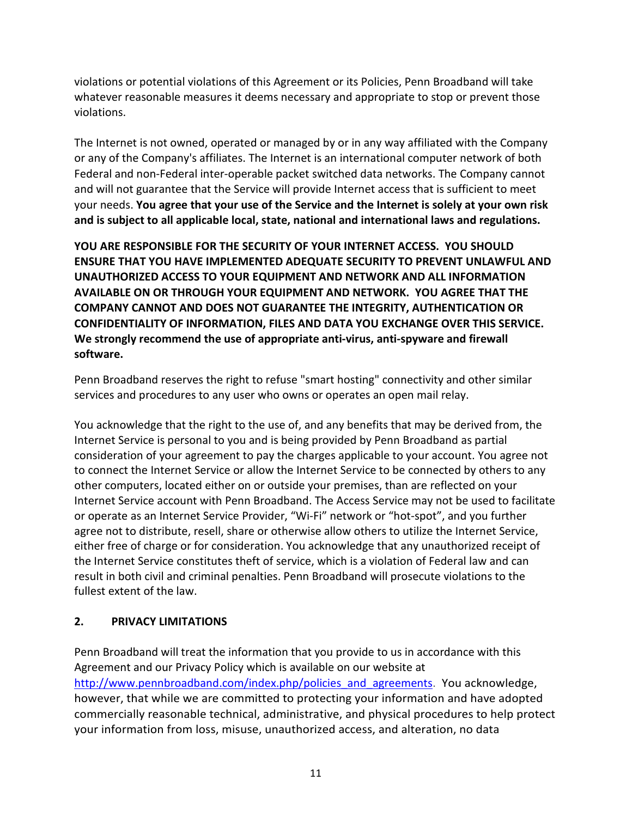violations or potential violations of this Agreement or its Policies, Penn Broadband will take whatever reasonable measures it deems necessary and appropriate to stop or prevent those violations.

The Internet is not owned, operated or managed by or in any way affiliated with the Company or any of the Company's affiliates. The Internet is an international computer network of both Federal and non-Federal inter-operable packet switched data networks. The Company cannot and will not guarantee that the Service will provide Internet access that is sufficient to meet your needs. **You agree that your use of the Service and the Internet is solely at your own risk and is subject to all applicable local, state, national and international laws and regulations.**

**YOU ARE RESPONSIBLE FOR THE SECURITY OF YOUR INTERNET ACCESS. YOU SHOULD ENSURE THAT YOU HAVE IMPLEMENTED ADEQUATE SECURITY TO PREVENT UNLAWFUL AND UNAUTHORIZED ACCESS TO YOUR EQUIPMENT AND NETWORK AND ALL INFORMATION AVAILABLE ON OR THROUGH YOUR EQUIPMENT AND NETWORK. YOU AGREE THAT THE COMPANY CANNOT AND DOES NOT GUARANTEE THE INTEGRITY, AUTHENTICATION OR CONFIDENTIALITY OF INFORMATION, FILES AND DATA YOU EXCHANGE OVER THIS SERVICE. We strongly recommend the use of appropriate anti-virus, anti-spyware and firewall software.**

Penn Broadband reserves the right to refuse "smart hosting" connectivity and other similar services and procedures to any user who owns or operates an open mail relay.

You acknowledge that the right to the use of, and any benefits that may be derived from, the Internet Service is personal to you and is being provided by Penn Broadband as partial consideration of your agreement to pay the charges applicable to your account. You agree not to connect the Internet Service or allow the Internet Service to be connected by others to any other computers, located either on or outside your premises, than are reflected on your Internet Service account with Penn Broadband. The Access Service may not be used to facilitate or operate as an Internet Service Provider, "Wi-Fi" network or "hot-spot", and you further agree not to distribute, resell, share or otherwise allow others to utilize the Internet Service, either free of charge or for consideration. You acknowledge that any unauthorized receipt of the Internet Service constitutes theft of service, which is a violation of Federal law and can result in both civil and criminal penalties. Penn Broadband will prosecute violations to the fullest extent of the law.

#### **2. PRIVACY LIMITATIONS**

Penn Broadband will treat the information that you provide to us in accordance with this Agreement and our Privacy Policy which is available on our website at [http://www.pennbroadband.com/index.php/policies\\_and\\_agreements.](http://www.pennbroadband.com/index.php/policies_and_agreements) You acknowledge, however, that while we are committed to protecting your information and have adopted commercially reasonable technical, administrative, and physical procedures to help protect your information from loss, misuse, unauthorized access, and alteration, no data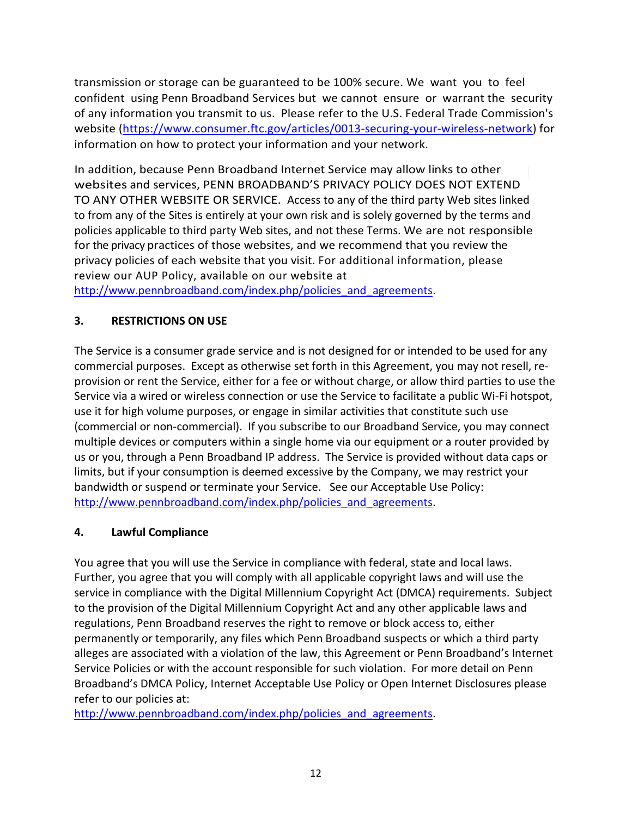transmission or storage can be guaranteed to be 100% secure. We want you to feel confident using Penn Broadband Services but we cannot ensure or warrant the security of any information you transmit to us. Please refer to the U.S. Federal Trade Commission's website [\(https://www.consumer.ftc.gov/articles/0013-securing-your-wireless-network\)](https://www.consumer.ftc.gov/articles/0013-securing-your-wireless-network) for information on how to protect your information and your network.

In addition, because Penn Broadband Internet Service may allow links to other websites and services, PENN BROADBAND'S PRIVACY POLICY DOES NOT EXTEND TO ANY OTHER WEBSITE OR SERVICE. Access to any of the third party Web sites linked to from any of the Sites is entirely at your own risk and is solely governed by the terms and policies applicable to third party Web sites, and not these Terms. We are not responsible for the privacy practices of those websites, and we recommend that you review the privacy policies of each website that you visit. For additional information, please review our AUP Policy, available on our website at [http://www.pennbroadband.com/index.php/policies\\_and\\_agreements.](http://www.pennbroadband.com/index.php/policies_and_agreements)

# **3. RESTRICTIONS ON USE**

The Service is a consumer grade service and is not designed for or intended to be used for any commercial purposes. Except as otherwise set forth in this Agreement, you may not resell, reprovision or rent the Service, either for a fee or without charge, or allow third parties to use the Service via a wired or wireless connection or use the Service to facilitate a public Wi-Fi hotspot, use it for high volume purposes, or engage in similar activities that constitute such use (commercial or non-commercial). If you subscribe to our Broadband Service, you may connect multiple devices or computers within a single home via our equipment or a router provided by us or you, through a Penn Broadband IP address. The Service is provided without data caps or limits, but if your consumption is deemed excessive by the Company, we may restrict your bandwidth or suspend or terminate your Service. See our Acceptable Use Policy: http://www.pennbroadband.com/index.php/policies and agreements.

#### **4. Lawful Compliance**

You agree that you will use the Service in compliance with federal, state and local laws. Further, you agree that you will comply with all applicable copyright laws and will use the service in compliance with the Digital Millennium Copyright Act (DMCA) requirements. Subject to the provision of the Digital Millennium Copyright Act and any other applicable laws and regulations, Penn Broadband reserves the right to remove or block access to, either permanently or temporarily, any files which Penn Broadband suspects or which a third party alleges are associated with a violation of the law, this Agreement or Penn Broadband's Internet Service Policies or with the account responsible for such violation. For more detail on Penn Broadband's DMCA Policy, Internet Acceptable Use Policy or Open Internet Disclosures please refer to our policies at:

http://www.pennbroadband.com/index.php/policies and agreements.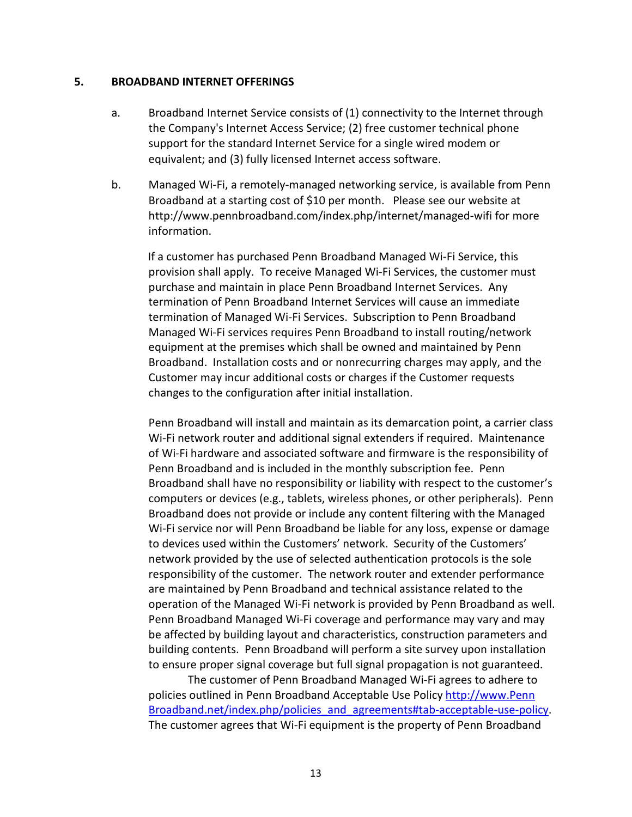#### **5. BROADBAND INTERNET OFFERINGS**

- a. Broadband Internet Service consists of (1) connectivity to the Internet through the Company's Internet Access Service; (2) free customer technical phone support for the standard Internet Service for a single wired modem or equivalent; and (3) fully licensed Internet access software.
- b. Managed Wi-Fi, a remotely-managed networking service, is available from Penn Broadband at a starting cost of \$10 per month. Please see our website at http://www.pennbroadband.com/index.php/internet/managed-wifi for more information.

 If a customer has purchased Penn Broadband Managed Wi-Fi Service, this provision shall apply. To receive Managed Wi-Fi Services, the customer must purchase and maintain in place Penn Broadband Internet Services. Any termination of Penn Broadband Internet Services will cause an immediate termination of Managed Wi-Fi Services. Subscription to Penn Broadband Managed Wi-Fi services requires Penn Broadband to install routing/network equipment at the premises which shall be owned and maintained by Penn Broadband. Installation costs and or nonrecurring charges may apply, and the Customer may incur additional costs or charges if the Customer requests changes to the configuration after initial installation.

Penn Broadband will install and maintain as its demarcation point, a carrier class Wi-Fi network router and additional signal extenders if required. Maintenance of Wi-Fi hardware and associated software and firmware is the responsibility of Penn Broadband and is included in the monthly subscription fee. Penn Broadband shall have no responsibility or liability with respect to the customer's computers or devices (e.g., tablets, wireless phones, or other peripherals). Penn Broadband does not provide or include any content filtering with the Managed Wi-Fi service nor will Penn Broadband be liable for any loss, expense or damage to devices used within the Customers' network. Security of the Customers' network provided by the use of selected authentication protocols is the sole responsibility of the customer. The network router and extender performance are maintained by Penn Broadband and technical assistance related to the operation of the Managed Wi-Fi network is provided by Penn Broadband as well. Penn Broadband Managed Wi-Fi coverage and performance may vary and may be affected by building layout and characteristics, construction parameters and building contents. Penn Broadband will perform a site survey upon installation to ensure proper signal coverage but full signal propagation is not guaranteed.

 The customer of Penn Broadband Managed Wi-Fi agrees to adhere to policies outlined in Penn Broadband Acceptable Use Polic[y http://www.Penn](http://www.nep.net/index.php/policies_and_agreements#tab-acceptable-use-policy)  [Broadband.net/index.php/policies\\_and\\_agreements#tab-acceptable-use-policy.](http://www.nep.net/index.php/policies_and_agreements#tab-acceptable-use-policy) The customer agrees that Wi-Fi equipment is the property of Penn Broadband